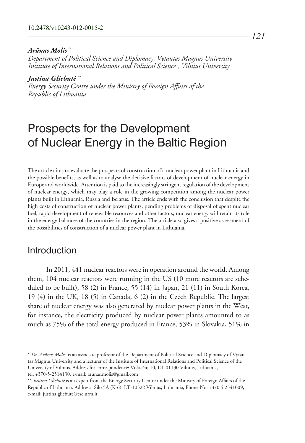#### *Arūnas Molis \**

*Department of Political Science and Diplomacy, Vytautas Magnus University Institute of International Relations and Political Science , Vilnius University* 

*Justina Gliebutė \*\**

*Energy Security Centre under the Ministry of Foreign Affairs of the Republic of Lithuania*

# Prospects for the Development of Nuclear Energy in the Baltic Region

The article aims to evaluate the prospects of construction of a nuclear power plant in Lithuania and the possible benefits, as well as to analyse the decisive factors of development of nuclear energy in Europe and worldwide. Attention is paid to the increasingly stringent regulation of the development of nuclear energy, which may play a role in the growing competition among the nuclear power plants built in Lithuania, Russia and Belarus. The article ends with the conclusion that despite the high costs of construction of nuclear power plants, pending problems of disposal of spent nuclear fuel, rapid development of renewable resources and other factors, nuclear energy will retain its role in the energy balances of the countries in the region. The article also gives a positive assessment of the possibilities of construction of a nuclear power plant in Lithuania.

# Introduction

In 2011, 441 nuclear reactors were in operation around the world. Among them, 104 nuclear reactors were running in the US (10 more reactors are scheduled to be built), 58 (2) in France, 55 (14) in Japan, 21 (11) in South Korea, 19 (4) in the UK, 18 (5) in Canada, 6 (2) in the Czech Republic. The largest share of nuclear energy was also generated by nuclear power plants in the West, for instance, the electricity produced by nuclear power plants amounted to as much as 75% of the total energy produced in France, 53% in Slovakia, 51% in

tel. +370-5-2514130, e-mail: arunas.molis@gmail.com

<sup>\*</sup> *Dr. Arūnas Molis* is an associate professor of the Department of Political Science and Diplomacy of Vytautas Magnus University and a lecturer of the Institute of International Relations and Political Science of the University of Vilnius. Address for correspondence: Vokiečių 10, LT-01130 Vilnius, Lithuania,

<sup>\*\*</sup> *Justina Gliebutė* is an expert from the Energy Security Centre under the Ministry of Foreign Affairs of the Republic of Lithuania. Address: Šilo 5A (K-6), LT-10322 Vilnius, Lithuania, Phone No. +370 5 2341009, e-mail: justina.gliebute@esc.urm.lt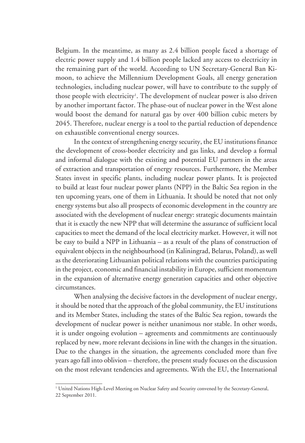Belgium. In the meantime, as many as 2.4 billion people faced a shortage of electric power supply and 1.4 billion people lacked any access to electricity in the remaining part of the world. According to UN Secretary-General Ban Kimoon, to achieve the Millennium Development Goals, all energy generation technologies, including nuclear power, will have to contribute to the supply of those people with electricity<sup>1</sup>. The development of nuclear power is also driven by another important factor. The phase-out of nuclear power in the West alone would boost the demand for natural gas by over 400 billion cubic meters by 2045. Therefore, nuclear energy is a tool to the partial reduction of dependence on exhaustible conventional energy sources.

In the context of strengthening energy security, the EU institutions finance the development of cross-border electricity and gas links, and develop a formal and informal dialogue with the existing and potential EU partners in the areas of extraction and transportation of energy resources. Furthermore, the Member States invest in specific plants, including nuclear power plants. It is projected to build at least four nuclear power plants (NPP) in the Baltic Sea region in the ten upcoming years, one of them in Lithuania. It should be noted that not only energy systems but also all prospects of economic development in the country are associated with the development of nuclear energy: strategic documents maintain that it is exactly the new NPP that will determine the assurance of sufficient local capacities to meet the demand of the local electricity market. However, it will not be easy to build a NPP in Lithuania – as a result of the plans of construction of equivalent objects in the neighbourhood (in Kaliningrad, Belarus, Poland), as well as the deteriorating Lithuanian political relations with the countries participating in the project, economic and financial instability in Europe, sufficient momentum in the expansion of alternative energy generation capacities and other objective circumstances.

When analysing the decisive factors in the development of nuclear energy, it should be noted that the approach of the global community, the EU institutions and its Member States, including the states of the Baltic Sea region, towards the development of nuclear power is neither unanimous nor stable. In other words, it is under ongoing evolution – agreements and commitments are continuously replaced by new, more relevant decisions in line with the changes in the situation. Due to the changes in the situation, the agreements concluded more than five years ago fall into oblivion – therefore, the present study focuses on the discussion on the most relevant tendencies and agreements. With the EU, the International

<sup>1</sup> United Nations High-Level Meeting on Nuclear Safety and Security convened by the Secretary-General, 22 September 2011.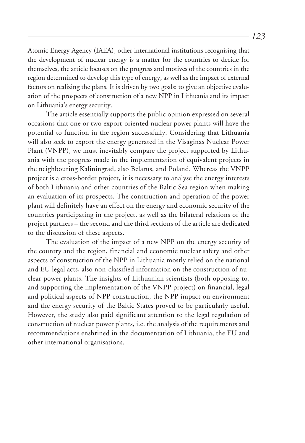Atomic Energy Agency (IAEA), other international institutions recognising that the development of nuclear energy is a matter for the countries to decide for themselves, the article focuses on the progress and motives of the countries in the region determined to develop this type of energy, as well as the impact of external factors on realizing the plans. It is driven by two goals: to give an objective evaluation of the prospects of construction of a new NPP in Lithuania and its impact on Lithuania's energy security.

The article essentially supports the public opinion expressed on several occasions that one or two export-oriented nuclear power plants will have the potential to function in the region successfully. Considering that Lithuania will also seek to export the energy generated in the Visaginas Nuclear Power Plant (VNPP), we must inevitably compare the project supported by Lithuania with the progress made in the implementation of equivalent projects in the neighbouring Kaliningrad, also Belarus, and Poland. Whereas the VNPP project is a cross-border project, it is necessary to analyse the energy interests of both Lithuania and other countries of the Baltic Sea region when making an evaluation of its prospects. The construction and operation of the power plant will definitely have an effect on the energy and economic security of the countries participating in the project, as well as the bilateral relations of the project partners – the second and the third sections of the article are dedicated to the discussion of these aspects.

The evaluation of the impact of a new NPP on the energy security of the country and the region, financial and economic nuclear safety and other aspects of construction of the NPP in Lithuania mostly relied on the national and EU legal acts, also non-classified information on the construction of nuclear power plants. The insights of Lithuanian scientists (both opposing to, and supporting the implementation of the VNPP project) on financial, legal and political aspects of NPP construction, the NPP impact on environment and the energy security of the Baltic States proved to be particularly useful. However, the study also paid significant attention to the legal regulation of construction of nuclear power plants, i.e. the analysis of the requirements and recommendations enshrined in the documentation of Lithuania, the EU and other international organisations.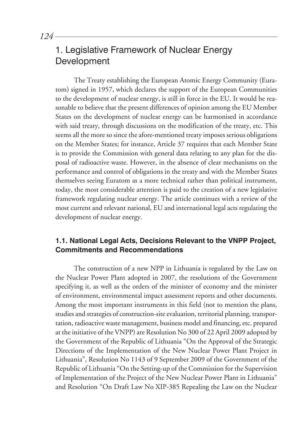# 1. Legislative Framework of Nuclear Energy Development

The Treaty establishing the European Atomic Energy Community (Euratom) signed in 1957, which declares the support of the European Communities to the development of nuclear energy, is still in force in the EU. It would be reasonable to believe that the present differences of opinion among the EU Member States on the development of nuclear energy can be harmonised in accordance with said treaty, through discussions on the modification of the treaty, etc. This seems all the more so since the afore-mentioned treaty imposes serious obligations on the Member States; for instance, Article 37 requires that each Member State is to provide the Commission with general data relating to any plan for the disposal of radioactive waste. However, in the absence of clear mechanisms on the performance and control of obligations in the treaty and with the Member States themselves seeing Euratom as a more technical rather than political instrument, today, the most considerable attention is paid to the creation of a new legislative framework regulating nuclear energy. The article continues with a review of the most current and relevant national, EU and international legal acts regulating the development of nuclear energy.

# **1.1. National Legal Acts, Decisions Relevant to the VNPP Project, Commitments and Recommendations**

The construction of a new NPP in Lithuania is regulated by the Law on the Nuclear Power Plant adopted in 2007, the resolutions of the Government specifying it, as well as the orders of the minister of economy and the minister of environment, environmental impact assessment reports and other documents. Among the most important instruments in this field (not to mention the plans, studies and strategies of construction-site evaluation, territorial planning, transportation, radioactive waste management, business model and financing, etc. prepared at the initiative of the VNPP) are Resolution No 300 of 22 April 2009 adopted by the Government of the Republic of Lithuania "On the Approval of the Strategic Directions of the Implementation of the New Nuclear Power Plant Project in Lithuania", Resolution No 1143 of 9 September 2009 of the Government of the Republic of Lithuania "On the Setting-up of the Commission for the Supervision of Implementation of the Project of the New Nuclear Power Plant in Lithuania" and Resolution "On Draft Law No XIP-385 Repealing the Law on the Nuclear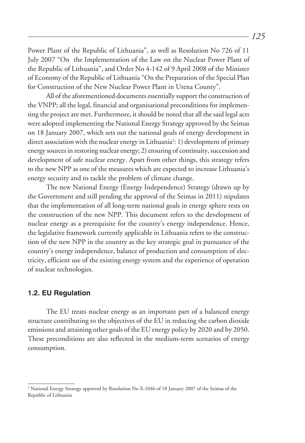Power Plant of the Republic of Lithuania", as well as Resolution No 726 of 11 July 2007 "On the Implementation of the Law on the Nuclear Power Plant of the Republic of Lithuania", and Order No 4-142 of 9 April 2008 of the Minister of Economy of the Republic of Lithuania "On the Preparation of the Special Plan for Construction of the New Nuclear Power Plant in Utena County".

All of the aforementioned documents essentially support the construction of the VNPP; all the legal, financial and organisational preconditions for implementing the project are met. Furthermore, it should be noted that all the said legal acts were adopted implementing the National Energy Strategy approved by the Seimas on 18 January 2007, which sets out the national goals of energy development in direct association with the nuclear energy in Lithuania2 : 1) development of primary energy sources in restoring nuclear energy; 2) ensuring of continuity, succession and development of safe nuclear energy. Apart from other things, this strategy refers to the new NPP as one of the measures which are expected to increase Lithuania's energy security and to tackle the problem of climate change.

The new National Energy (Energy Independence) Strategy (drawn up by the Government and still pending the approval of the Seimas in 2011) stipulates that the implementation of all long-term national goals in energy sphere rests on the construction of the new NPP. This document refers to the development of nuclear energy as a prerequisite for the country's energy independence. Hence, the legislative framework currently applicable in Lithuania refers to the construction of the new NPP in the country as the key strategic goal in pursuance of the country's energy independence, balance of production and consumption of electricity, efficient use of the existing energy system and the experience of operation of nuclear technologies.

### **1.2. EU Regulation**

The EU treats nuclear energy as an important part of a balanced energy structure contributing to the objectives of the EU in reducing the carbon dioxide emissions and attaining other goals of the EU energy policy by 2020 and by 2050. These preconditions are also reflected in the medium-term scenarios of energy consumption.

<sup>&</sup>lt;sup>2</sup> National Energy Strategy approved by Resolution No X-1046 of 18 January 2007 of the Seimas of the Republic of Lithuania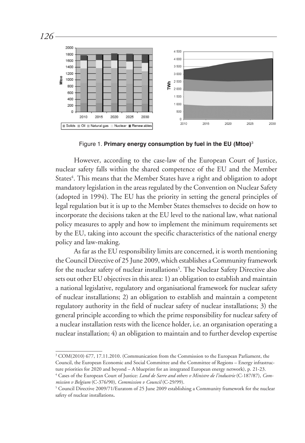

Figure 1. **Primary energy consumption by fuel in the EU (Mtoe)**<sup>3</sup>

However, according to the case-law of the European Court of Justice, nuclear safety falls within the shared competence of the EU and the Member States<sup>4</sup>. This means that the Member States have a right and obligation to adopt mandatory legislation in the areas regulated by the Convention on Nuclear Safety (adopted in 1994). The EU has the priority in setting the general principles of legal regulation but it is up to the Member States themselves to decide on how to incorporate the decisions taken at the EU level to the national law, what national policy measures to apply and how to implement the minimum requirements set by the EU, taking into account the specific characteristics of the national energy policy and law-making.

As far as the EU responsibility limits are concerned, it is worth mentioning the Council Directive of 25 June 2009, which establishes a Community framework for the nuclear safety of nuclear installations<sup>5</sup>. The Nuclear Safety Directive also sets out other EU objectives in this area: 1) an obligation to establish and maintain a national legislative, regulatory and organisational framework for nuclear safety of nuclear installations; 2) an obligation to establish and maintain a competent regulatory authority in the field of nuclear safety of nuclear installations; 3) the general principle according to which the prime responsibility for nuclear safety of a nuclear installation rests with the licence holder, i.e. an organisation operating a nuclear installation; 4) an obligation to maintain and to further develop expertise

<sup>3</sup> COM(2010) 677, 17.11.2010. (Communication from the Commission to the European Parliament, the Council, the European Economic and Social Committee and the Committee of Regions – Energy infrastructure priorities for 2020 and beyond – A blueprint for an integrated European energy network), p. 21-23.

<sup>4</sup> Cases of the European Court of Justice: *Land de Sarre and others v Ministre de l'industrie* (C-187/87), *Commission v Belgium* (C-376/90), *Commission v Council* (C-29/99).

<sup>5</sup> Council Directive 2009/71/Euratom of 25 June 2009 establishing a Community framework for the nuclear safety of nuclear installations.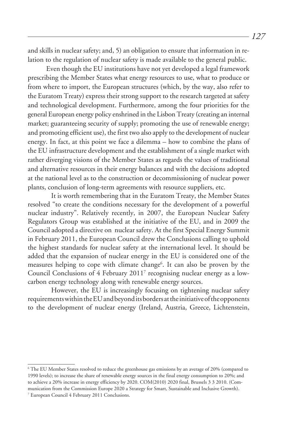and skills in nuclear safety; and, 5) an obligation to ensure that information in relation to the regulation of nuclear safety is made available to the general public.

Even though the EU institutions have not yet developed a legal framework prescribing the Member States what energy resources to use, what to produce or from where to import, the European structures (which, by the way, also refer to the Euratom Treaty) express their strong support to the research targeted at safety and technological development. Furthermore, among the four priorities for the general European energy policy enshrined in the Lisbon Treaty (creating an internal market; guaranteeing security of supply; promoting the use of renewable energy; and promoting efficient use), the first two also apply to the development of nuclear energy. In fact, at this point we face a dilemma – how to combine the plans of the EU infrastructure development and the establishment of a single market with rather diverging visions of the Member States as regards the values of traditional and alternative resources in their energy balances and with the decisions adopted at the national level as to the construction or decommissioning of nuclear power plants, conclusion of long-term agreements with resource suppliers, etc.

It is worth remembering that in the Euratom Treaty, the Member States resolved "to create the conditions necessary for the development of a powerful nuclear industry". Relatively recently, in 2007, the European Nuclear Safety Regulators Group was established at the initiative of the EU, and in 2009 the Council adopted a directive on nuclear safety. At the first Special Energy Summit in February 2011, the European Council drew the Conclusions calling to uphold the highest standards for nuclear safety at the international level. It should be added that the expansion of nuclear energy in the EU is considered one of the measures helping to cope with climate change<sup>6</sup>. It can also be proven by the Council Conclusions of 4 February 20117 recognising nuclear energy as a lowcarbon energy technology along with renewable energy sources.

However, the EU is increasingly focusing on tightening nuclear safety requirements within the EU and beyond its borders at the initiative of the opponents to the development of nuclear energy (Ireland, Austria, Greece, Lichtenstein,

<sup>6</sup> The EU Member States resolved to reduce the greenhouse gas emissions by an average of 20% (compared to 1990 levels); to increase the share of renewable energy sources in the final energy consumption to 20%; and to achieve a 20% increase in energy efficiency by 2020. COM(2010) 2020 final, Brussels 3 3 2010. (Communication from the Commission Europe 2020 a Strategy for Smart, Sustainable and Inclusive Growth). 7 European Council 4 February 2011 Conclusions.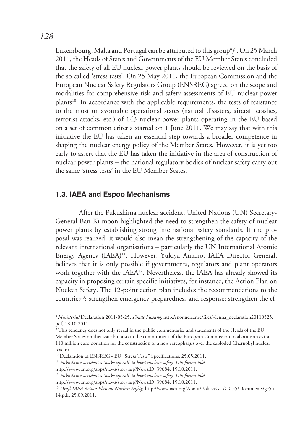*128*

Luxembourg, Malta and Portugal can be attributed to this group<sup>8)9</sup>. On 25 March 2011, the Heads of States and Governments of the EU Member States concluded that the safety of all EU nuclear power plants should be reviewed on the basis of the so called 'stress tests'. On 25 May 2011, the European Commission and the European Nuclear Safety Regulators Group (ENSREG) agreed on the scope and modalities for comprehensive risk and safety assessments of EU nuclear power plants<sup>10</sup>. In accordance with the applicable requirements, the tests of resistance to the most unfavourable operational states (natural disasters, aircraft crashes, terrorist attacks, etc.) of 143 nuclear power plants operating in the EU based on a set of common criteria started on 1 June 2011. We may say that with this initiative the EU has taken an essential step towards a broader competence in shaping the nuclear energy policy of the Member States. However, it is yet too early to assert that the EU has taken the initiative in the area of construction of nuclear power plants – the national regulatory bodies of nuclear safety carry out the same 'stress tests' in the EU Member States.

#### **1.3. IAEA and Espoo Mechanisms**

After the Fukushima nuclear accident, United Nations (UN) Secretary-General Ban Ki-moon highlighted the need to strengthen the safety of nuclear power plants by establishing strong international safety standards. If the proposal was realized, it would also mean the strengthening of the capacity of the relevant international organisations – particularly the UN International Atomic Energy Agency (IAEA)<sup>11</sup>. However, Yukiya Amano, IAEA Director General, believes that it is only possible if governments, regulators and plant operators work together with the IAEA<sup>12</sup>. Nevertheless, the IAEA has already showed its capacity in proposing certain specific initiatives, for instance, the Action Plan on Nuclear Safety. The 12-point action plan includes the recommendations to the countries<sup>13</sup>: strengthen emergency preparedness and response; strengthen the ef-

<sup>8</sup>*Ministerial* Declaration 2011-05-25*; Finale Fassung*, http://nonuclear.se/files/vienna\_declaration20110525. pdf, 18.10.2011.

 $^9$  This tendency does not only reveal in the public commentaries and statements of the Heads of the EU  $^9$ Member States on this issue but also in the commitment of the European Commission to allocate an extra 110 million euro donation for the construction of a new sarcophagus over the exploded Chernobyl nuclear reactor.

<sup>&</sup>lt;sup>10</sup> Declaration of ENSREG - EU "Stress Tests" Specifications, 25.05.2011.

<sup>11</sup> *Fukushima accident a 'wake-up call' to boost nuclear safety, UN forum told,*

http://www.un.org/apps/news/story.asp?NewsID=39684, 15.10.2011.

<sup>12</sup> *Fukushima accident a 'wake-up call' to boost nuclear safety, UN forum told,*

http://www.un.org/apps/news/story.asp?NewsID=39684, 15.10.2011.

<sup>13</sup> *Draft IAEA Action Plan on Nuclear Safety*, http://www.iaea.org/About/Policy/GC/GC55/Documents/gc55- 14.pdf, 25.09.2011.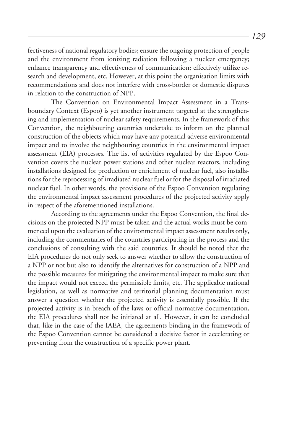fectiveness of national regulatory bodies; ensure the ongoing protection of people and the environment from ionizing radiation following a nuclear emergency; enhance transparency and effectiveness of communication; effectively utilize research and development, etc. However, at this point the organisation limits with recommendations and does not interfere with cross-border or domestic disputes in relation to the construction of NPP.

The Convention on Environmental Impact Assessment in a Transboundary Context (Espoo) is yet another instrument targeted at the strengthening and implementation of nuclear safety requirements. In the framework of this Convention, the neighbouring countries undertake to inform on the planned construction of the objects which may have any potential adverse environmental impact and to involve the neighbouring countries in the environmental impact assessment (EIA) processes. The list of activities regulated by the Espoo Convention covers the nuclear power stations and other nuclear reactors, including installations designed for production or enrichment of nuclear fuel, also installations for the reprocessing of irradiated nuclear fuel or for the disposal of irradiated nuclear fuel. In other words, the provisions of the Espoo Convention regulating the environmental impact assessment procedures of the projected activity apply in respect of the aforementioned installations.

According to the agreements under the Espoo Convention, the final decisions on the projected NPP must be taken and the actual works must be commenced upon the evaluation of the environmental impact assessment results only, including the commentaries of the countries participating in the process and the conclusions of consulting with the said countries. It should be noted that the EIA procedures do not only seek to answer whether to allow the construction of a NPP or not but also to identify the alternatives for construction of a NPP and the possible measures for mitigating the environmental impact to make sure that the impact would not exceed the permissible limits, etc. The applicable national legislation, as well as normative and territorial planning documentation must answer a question whether the projected activity is essentially possible. If the projected activity is in breach of the laws or official normative documentation, the EIA procedures shall not be initiated at all. However, it can be concluded that, like in the case of the IAEA, the agreements binding in the framework of the Espoo Convention cannot be considered a decisive factor in accelerating or preventing from the construction of a specific power plant.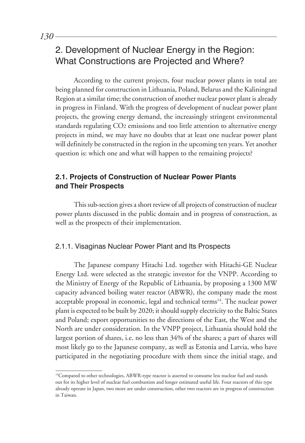# 2. Development of Nuclear Energy in the Region: What Constructions are Projected and Where?

According to the current projects, four nuclear power plants in total are being planned for construction in Lithuania, Poland, Belarus and the Kaliningrad Region at a similar time; the construction of another nuclear power plant is already in progress in Finland. With the progress of development of nuclear power plant projects, the growing energy demand, the increasingly stringent environmental standards regulating CO2 emissions and too little attention to alternative energy projects in mind, we may have no doubts that at least one nuclear power plant will definitely be constructed in the region in the upcoming ten years. Yet another question is: which one and what will happen to the remaining projects?

# **2.1. Projects of Construction of Nuclear Power Plants and Their Prospects**

This sub-section gives a short review of all projects of construction of nuclear power plants discussed in the public domain and in progress of construction, as well as the prospects of their implementation.

### 2.1.1. Visaginas Nuclear Power Plant and Its Prospects

The Japanese company Hitachi Ltd. together with Hitachi-GE Nuclear Energy Ltd. were selected as the strategic investor for the VNPP. According to the Ministry of Energy of the Republic of Lithuania, by proposing a 1300 MW capacity advanced boiling water reactor (ABWR), the company made the most acceptable proposal in economic, legal and technical terms<sup>14</sup>. The nuclear power plant is expected to be built by 2020; it should supply electricity to the Baltic States and Poland; export opportunities to the directions of the East, the West and the North are under consideration. In the VNPP project, Lithuania should hold the largest portion of shares, i.e. no less than 34% of the shares; a part of shares will most likely go to the Japanese company, as well as Estonia and Latvia, who have participated in the negotiating procedure with them since the initial stage, and

<sup>&</sup>lt;sup>14</sup>Compared to other technologies, ABWR-type reactor is asserted to consume less nuclear fuel and stands out for its higher level of nuclear fuel combustion and longer estimated useful life. Four reactors of this type already operate in Japan, two more are under construction, other two reactors are in progress of construction in Taiwan.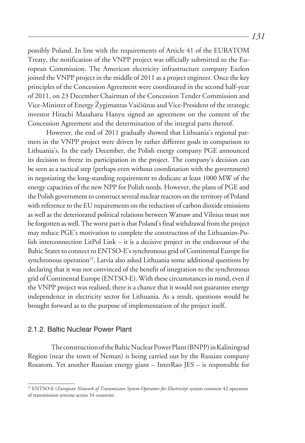possibly Poland. In line with the requirements of Article 41 of the EURATOM Treaty, the notification of the VNPP project was officially submitted to the European Commission. The American electricity infrastructure company Exelon joined the VNPP project in the middle of 2011 as a project engineer. Once the key principles of the Concession Agreement were coordinated in the second half-year of 2011, on 23 December Chairman of the Concession Tender Commission and Vice-Minister of Energy Žygimantas Vaičiūnas and Vice-President of the strategic investor Hitachi Masaharu Hanyu signed an agreement on the content of the Concession Agreement and the determination of the integral parts thereof.

However, the end of 2011 gradually showed that Lithuania's regional partners in the VNPP project were driven by rather different goals in comparison to Lithuania's. In the early December, the Polish energy company PGE announced its decision to freeze its participation in the project. The company's decision can be seen as a tactical step (perhaps even without coordination with the government) in negotiating the long-standing requirement to dedicate at least 1000 MW of the energy capacities of the new NPP for Polish needs. However, the plans of PGE and the Polish government to construct several nuclear reactors on the territory of Poland with reference to the EU requirements on the reduction of carbon dioxide emissions as well as the deteriorated political relations between Warsaw and Vilnius must not be forgotten as well. The worst part is that Poland's final withdrawal from the project may reduce PGE's motivation to complete the construction of the Lithuanian-Polish interconnection LitPol Link – it is a decisive project in the endeavour of the Baltic States to connect to ENTSO-E's synchronous grid of Continental Europe for synchronous operation<sup>15</sup>. Latvia also asked Lithuania some additional questions by declaring that it was not convinced of the benefit of integration to the synchronous grid of Continental Europe (ENTSO-E). With these circumstances in mind, even if the VNPP project was realized, there is a chance that it would not guarantee energy independence in electricity sector for Lithuania. As a result, questions would be brought forward as to the purpose of implementation of the project itself.

#### 2.1.2. Baltic Nuclear Power Plant

The construction of the Baltic Nuclear Power Plant (BNPP) in Kaliningrad Region (near the town of Neman) is being carried out by the Russian company Rosatom. Yet another Russian energy giant – InterRao JES – is responsible for

<sup>&</sup>lt;sup>15</sup> ENTSO-E (*European Network of Transmission System Operators for Electricity*) system connects 42 operators of transmission systems across 34 countries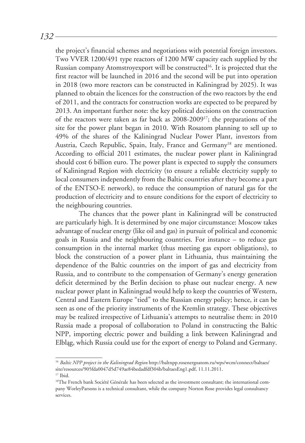the project's financial schemes and negotiations with potential foreign investors. Two VVER 1200/491 type reactors of 1200 MW capacity each supplied by the Russian company Atomstroyexport will be constructed<sup>16</sup>. It is projected that the first reactor will be launched in 2016 and the second will be put into operation in 2018 (two more reactors can be constructed in Kaliningrad by 2025). It was planned to obtain the licences for the construction of the two reactors by the end of 2011, and the contracts for construction works are expected to be prepared by 2013. An important further note: the key political decisions on the construction of the reactors were taken as far back as 2008-200917; the preparations of the site for the power plant began in 2010. With Rosatom planning to sell up to 49% of the shares of the Kaliningrad Nuclear Power Plant, investors from Austria, Czech Republic, Spain, Italy, France and Germany<sup>18</sup> are mentioned. According to official 2011 estimates, the nuclear power plant in Kaliningrad should cost 6 billion euro. The power plant is expected to supply the consumers of Kaliningrad Region with electricity (to ensure a reliable electricity supply to local consumers independently from the Baltic countries after they become a part of the ENTSO-E network), to reduce the consumption of natural gas for the production of electricity and to ensure conditions for the export of electricity to the neighbouring countries.

The chances that the power plant in Kaliningrad will be constructed are particularly high. It is determined by one major circumstance: Moscow takes advantage of nuclear energy (like oil and gas) in pursuit of political and economic goals in Russia and the neighbouring countries. For instance – to reduce gas consumption in the internal market (thus meeting gas export obligations), to block the construction of a power plant in Lithuania, thus maintaining the dependence of the Baltic countries on the import of gas and electricity from Russia, and to contribute to the compensation of Germany's energy generation deficit determined by the Berlin decision to phase out nuclear energy. A new nuclear power plant in Kaliningrad would help to keep the countries of Western, Central and Eastern Europe "tied" to the Russian energy policy; hence, it can be seen as one of the priority instruments of the Kremlin strategy. These objectives may be realized irrespective of Lithuania's attempts to neutralise them: in 2010 Russia made a proposal of collaboration to Poland in constructing the Baltic NPP, importing electric power and building a link between Kaliningrad and Elbląg, which Russia could use for the export of energy to Poland and Germany.

<sup>&</sup>lt;sup>16</sup> Baltic NPP project in the Kaliningrad Region http://baltnpp.rosenergoatom.ru/wps/wcm/connect/baltaes/ site/resources/905fda0047d5d749ae84bedadfdf304b/baltaesEng1.pdf, 11.11.2011.

<sup>17</sup> Ibid.

<sup>&</sup>lt;sup>18</sup>The French bank Société Générale has been selected as the investment consultant; the international company WorleyParsons is a technical consultant, while the company Norton Rose provides legal consultancy services.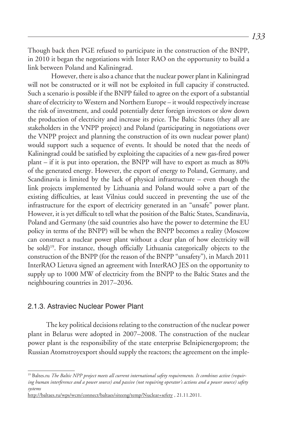Though back then PGE refused to participate in the construction of the BNPP, in 2010 it began the negotiations with Inter RAO on the opportunity to build a link between Poland and Kaliningrad.

However, there is also a chance that the nuclear power plant in Kaliningrad will not be constructed or it will not be exploited in full capacity if constructed. Such a scenario is possible if the BNPP failed to agree on the export of a substantial share of electricity to Western and Northern Europe – it would respectively increase the risk of investment, and could potentially deter foreign investors or slow down the production of electricity and increase its price. The Baltic States (they all are stakeholders in the VNPP project) and Poland (participating in negotiations over the VNPP project and planning the construction of its own nuclear power plant) would support such a sequence of events. It should be noted that the needs of Kaliningrad could be satisfied by exploiting the capacities of a new gas-fired power plant – if it is put into operation, the BNPP will have to export as much as 80% of the generated energy. However, the export of energy to Poland, Germany, and Scandinavia is limited by the lack of physical infrastructure – even though the link projects implemented by Lithuania and Poland would solve a part of the existing difficulties, at least Vilnius could succeed in preventing the use of the infrastructure for the export of electricity generated in an "unsafe" power plant. However, it is yet difficult to tell what the position of the Baltic States, Scandinavia, Poland and Germany (the said countries also have the power to determine the EU policy in terms of the BNPP) will be when the BNPP becomes a reality (Moscow can construct a nuclear power plant without a clear plan of how electricity will be sold)<sup>19</sup>. For instance, though officially Lithuania categorically objects to the construction of the BNPP (for the reason of the BNPP "unsafety"), in March 2011 InterRAO Lietuva signed an agreement with InterRAO JES on the opportunity to supply up to 1000 MW of electricity from the BNPP to the Baltic States and the neighbouring countries in 2017–2036.

## 2.1.3. Astraviec Nuclear Power Plant

The key political decisions relating to the construction of the nuclear power plant in Belarus were adopted in 2007–2008. The construction of the nuclear power plant is the responsibility of the state enterprise Belnipienergoprom; the Russian Atomstroyexport should supply the reactors; the agreement on the imple-

<sup>19</sup> Baltes.ru *The Baltic NPP project meets all current international safety requirements. It combines active (requiring human interference and a power source) and passive (not requiring operator's actions and a power source) safety systems*

http://baltaes.ru/wps/wcm/connect/baltaes/siteeng/temp/Nuclear+sefety , 21.11.2011.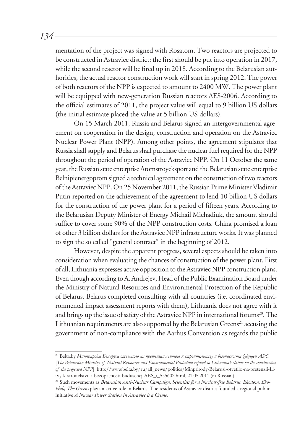mentation of the project was signed with Rosatom. Two reactors are projected to be constructed in Astraviec district: the first should be put into operation in 2017, while the second reactor will be fired up in 2018. According to the Belarusian authorities, the actual reactor construction work will start in spring 2012. The power of both reactors of the NPP is expected to amount to 2400 MW. The power plant will be equipped with new-generation Russian reactors AES-2006. According to the official estimates of 2011, the project value will equal to 9 billion US dollars (the initial estimate placed the value at 5 billion US dollars).

On 15 March 2011, Russia and Belarus signed an intergovernmental agreement on cooperation in the design, construction and operation on the Astraviec Nuclear Power Plant (NPP). Among other points, the agreement stipulates that Russia shall supply and Belarus shall purchase the nuclear fuel required for the NPP throughout the period of operation of the Astraviec NPP. On 11 October the same year, the Russian state enterprise Atomstroyeksport and the Belarusian state enterprise Belnipienergoprom signed a technical agreement on the construction of two reactors of the Astraviec NPP. On 25 November 2011, the Russian Prime Minister Vladimir Putin reported on the achievement of the agreement to lend 10 billion US dollars for the construction of the power plant for a period of fifteen years. According to the Belarusian Deputy Minister of Energy Michail Michadiuk, the amount should suffice to cover some 90% of the NPP construction costs. China promised a loan of other 3 billion dollars for the Astraviec NPP infrastructure works. It was planned to sign the so called "general contract" in the beginning of 2012.

However, despite the apparent progress, several aspects should be taken into consideration when evaluating the chances of construction of the power plant. First of all, Lithuania expresses active opposition to the Astraviec NPP construction plans. Even though according to A. Andrejev, Head of the Public Examination Board under the Ministry of Natural Resources and Environmental Protection of the Republic of Belarus, Belarus completed consulting with all countries (i.e. coordinated environmental impact assessment reports with them), Lithuania does not agree with it and brings up the issue of safety of the Astraviec NPP in international forums<sup>20</sup>. The Lithuanian requirements are also supported by the Belarusian Greens<sup>21</sup> accusing the government of non-compliance with the Aarhus Convention as regards the public

20 Belta.by *Минприроды Беларуси ответило на претензии Литвы к строительству и безопасности будущей АЭС*

*134*

<sup>[</sup>*The Belarusian Ministry of Natural Resources and Environmental Protection replied to Lithuania's claims on the construction of the projected NPP*] http://www.belta.by/ru/all\_news/politics/Minprirody-Belarusi-otvetilo-na-pretenzii-Litvy-k-stroitelstvu-i-bezopasnosti-buduschej-AES\_i\_555602.html, 21.05.2011 (in Russian).

<sup>21</sup> Such movements as *Belarusian Anti-Nuclear Campaign*, *Scientists for a Nuclear-free Belarus*, *Ekodom*, *Ekoklub*, *The Greens* play an active role in Belarus. The residents of Astraviec district founded a regional public initiative *A Nucear Power Station in Astraviec is a Crime*.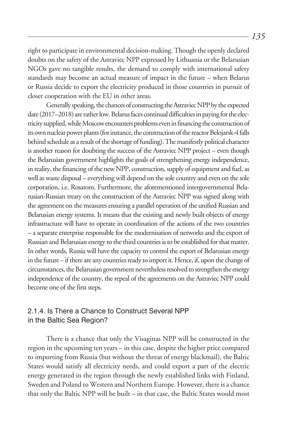right to participate in environmental decision-making. Though the openly declared doubts on the safety of the Astraviec NPP expressed by Lithuania or the Belarusian NGOs gave no tangible results, the demand to comply with international safety standards may become an actual measure of impact in the future – when Belarus or Russia decide to export the electricity produced in those countries in pursuit of closer cooperation with the EU in other areas.

Generally speaking, the chances of constructing the Astraviec NPP by the expected date (2017–2018) are rather low. Belarus faces continual difficulties in paying for the electricity supplied, while Moscow encounters problems even in financing the construction of its own nuclear power plants (for instance, the construction of the reactor Belojarsk-4 falls behind schedule as a result of the shortage of funding). The manifestly political character is another reason for doubting the success of the Astraviec NPP project – even though the Belarusian government highlights the goals of strengthening energy independence, in reality, the financing of the new NPP, construction, supply of equipment and fuel, as well as waste disposal – everything will depend on the sole country and even on the sole corporation, i.e. Rosatom. Furthermore, the aforementioned intergovernmental Belarusian-Russian treaty on the construction of the Astraviec NPP was signed along with the agreement on the measures ensuring a parallel operation of the unified Russian and Belarusian energy systems. It means that the existing and newly built objects of energy infrastructure will have to operate in coordination of the actions of the two countries – a separate enterprise responsible for the modernisation of networks and the export of Russian and Belarusian energy to the third countries is to be established for that matter. In other words, Russia will have the capacity to control the export of Belarusian energy in the future – if there are any countries ready to import it. Hence, if, upon the change of circumstances, the Belarusian government nevertheless resolved to strengthen the energy independence of the country, the repeal of the agreements on the Astraviec NPP could become one of the first steps.

# 2.1.4. Is There a Chance to Construct Several NPP in the Baltic Sea Region?

There is a chance that only the Visaginas NPP will be constructed in the region in the upcoming ten years – in this case, despite the higher price compared to importing from Russia (but without the threat of energy blackmail), the Baltic States would satisfy all electricity needs, and could export a part of the electric energy generated in the region through the newly established links with Finland, Sweden and Poland to Western and Northern Europe. However, there is a chance that only the Baltic NPP will be built – in that case, the Baltic States would most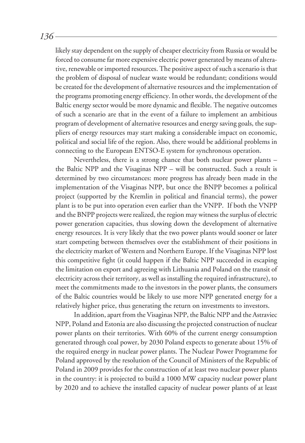likely stay dependent on the supply of cheaper electricity from Russia or would be forced to consume far more expensive electric power generated by means of alterative, renewable or imported resources. The positive aspect of such a scenario is that the problem of disposal of nuclear waste would be redundant; conditions would be created for the development of alternative resources and the implementation of the programs promoting energy efficiency. In other words, the development of the Baltic energy sector would be more dynamic and flexible. The negative outcomes of such a scenario are that in the event of a failure to implement an ambitious program of development of alternative resources and energy saving goals, the suppliers of energy resources may start making a considerable impact on economic, political and social life of the region. Also, there would be additional problems in connecting to the European ENTSO-E system for synchronous operation.

Nevertheless, there is a strong chance that both nuclear power plants – the Baltic NPP and the Visaginas NPP – will be constructed. Such a result is determined by two circumstances: more progress has already been made in the implementation of the Visaginas NPP, but once the BNPP becomes a political project (supported by the Kremlin in political and financial terms), the power plant is to be put into operation even earlier than the VNPP. If both the VNPP and the BNPP projects were realized, the region may witness the surplus of electric power generation capacities, thus slowing down the development of alternative energy resources. It is very likely that the two power plants would sooner or later start competing between themselves over the establishment of their positions in the electricity market of Western and Northern Europe. If the Visaginas NPP lost this competitive fight (it could happen if the Baltic NPP succeeded in escaping the limitation on export and agreeing with Lithuania and Poland on the transit of electricity across their territory, as well as installing the required infrastructure), to meet the commitments made to the investors in the power plants, the consumers of the Baltic countries would be likely to use more NPP generated energy for a relatively higher price, thus generating the return on investments to investors.

In addition, apart from the Visaginas NPP, the Baltic NPP and the Astraviec NPP, Poland and Estonia are also discussing the projected construction of nuclear power plants on their territories. With 60% of the current energy consumption generated through coal power, by 2030 Poland expects to generate about 15% of the required energy in nuclear power plants. The Nuclear Power Programme for Poland approved by the resolution of the Council of Ministers of the Republic of Poland in 2009 provides for the construction of at least two nuclear power plants in the country: it is projected to build a 1000 MW capacity nuclear power plant by 2020 and to achieve the installed capacity of nuclear power plants of at least

*136*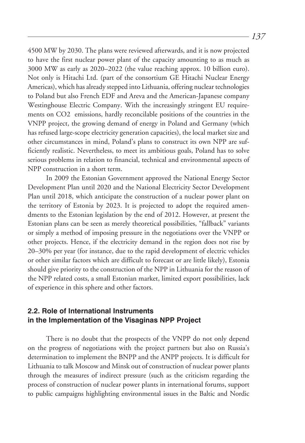4500 MW by 2030. The plans were reviewed afterwards, and it is now projected to have the first nuclear power plant of the capacity amounting to as much as 3000 MW as early as 2020–2022 (the value reaching approx. 10 billion euro). Not only is Hitachi Ltd. (part of the consortium GE Hitachi Nuclear Energy Americas), which has already stepped into Lithuania, offering nuclear technologies to Poland but also French EDF and Areva and the American-Japanese company Westinghouse Electric Company. With the increasingly stringent EU requirements on CO2 emissions, hardly reconcilable positions of the countries in the VNPP project, the growing demand of energy in Poland and Germany (which has refused large-scope electricity generation capacities), the local market size and other circumstances in mind, Poland's plans to construct its own NPP are sufficiently realistic. Nevertheless, to meet its ambitious goals, Poland has to solve serious problems in relation to financial, technical and environmental aspects of NPP construction in a short term.

In 2009 the Estonian Government approved the National Energy Sector Development Plan until 2020 and the National Electricity Sector Development Plan until 2018, which anticipate the construction of a nuclear power plant on the territory of Estonia by 2023. It is projected to adopt the required amendments to the Estonian legislation by the end of 2012. However, at present the Estonian plans can be seen as merely theoretical possibilities, "fallback" variants or simply a method of imposing pressure in the negotiations over the VNPP or other projects. Hence, if the electricity demand in the region does not rise by 20–30% per year (for instance, due to the rapid development of electric vehicles or other similar factors which are difficult to forecast or are little likely), Estonia should give priority to the construction of the NPP in Lithuania for the reason of the NPP related costs, a small Estonian market, limited export possibilities, lack of experience in this sphere and other factors.

## **2.2. Role of International Instruments in the Implementation of the Visaginas NPP Project**

There is no doubt that the prospects of the VNPP do not only depend on the progress of negotiations with the project partners but also on Russia's determination to implement the BNPP and the ANPP projects. It is difficult for Lithuania to talk Moscow and Minsk out of construction of nuclear power plants through the measures of indirect pressure (such as the criticism regarding the process of construction of nuclear power plants in international forums, support to public campaigns highlighting environmental issues in the Baltic and Nordic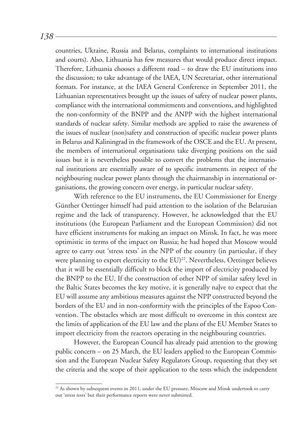countries, Ukraine, Russia and Belarus, complaints to international institutions and courts). Also, Lithuania has few measures that would produce direct impact. Therefore, Lithuania chooses a different road – to draw the EU institutions into the discussion; to take advantage of the IAEA, UN Secretariat, other international formats. For instance, at the IAEA General Conference in September 2011, the Lithuanian representatives brought up the issues of safety of nuclear power plants, compliance with the international commitments and conventions, and highlighted the non-conformity of the BNPP and the ANPP with the highest international standards of nuclear safety. Similar methods are applied to raise the awareness of the issues of nuclear (non)safety and construction of specific nuclear power plants in Belarus and Kaliningrad in the framework of the OSCE and the EU. At present, the members of international organisations take diverging positions on the said issues but it is nevertheless possible to convert the problems that the international institutions are essentially aware of to specific instruments in respect of the neighbouring nuclear power plants through the chairmanship in international organisations, the growing concern over energy, in particular nuclear safety.

With reference to the EU instruments, the EU Commissioner for Energy Günther Oettinger himself had paid attention to the isolation of the Belarusian regime and the lack of transparency. However, he acknowledged that the EU institutions (the European Parliament and the European Commission) did not have efficient instruments for making an impact on Minsk. In fact, he was more optimistic in terms of the impact on Russia; he had hoped that Moscow would agree to carry out 'stress tests' in the NPP of the country (in particular, if they were planning to export electricity to the EU)<sup>22</sup>. Nevertheless, Oettinger believes that it will be essentially difficult to block the import of electricity produced by the BNPP to the EU. If the construction of other NPP of similar safety level in the Baltic States becomes the key motive, it is generally nalve to expect that the EU will assume any ambitious measures against the NPP constructed beyond the borders of the EU and in non-conformity with the principles of the Espoo Convention. The obstacles which are most difficult to overcome in this context are the limits of application of the EU law and the plans of the EU Member States to import electricity from the reactors operating in the neighbouring countries.

However, the European Council has already paid attention to the growing public concern – on 25 March, the EU leaders applied to the European Commission and the European Nuclear Safety Regulators Group, requesting that they set the criteria and the scope of their application to the tests which the independent

<sup>&</sup>lt;sup>22</sup> As shown by subsequent events in 2011, under the EU pressure, Moscow and Minsk undertook to carry out 'stress tests' but their performance reports were never submitted.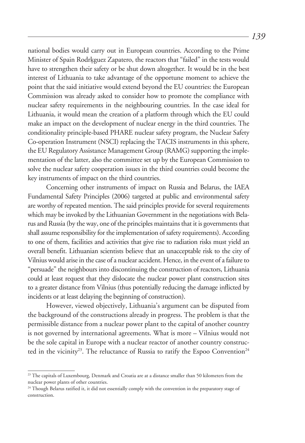national bodies would carry out in European countries. According to the Prime Minister of Spain Rodrkguez Zapatero, the reactors that "failed" in the tests would have to strengthen their safety or be shut down altogether. It would be in the best interest of Lithuania to take advantage of the opportune moment to achieve the point that the said initiative would extend beyond the EU countries: the European Commission was already asked to consider how to promote the compliance with nuclear safety requirements in the neighbouring countries. In the case ideal for Lithuania, it would mean the creation of a platform through which the EU could make an impact on the development of nuclear energy in the third countries. The conditionality principle-based PHARE nuclear safety program, the Nuclear Safety Co-operation Instrument (NSCI) replacing the TACIS instruments in this sphere, the EU Regulatory Assistance Management Group (RAMG) supporting the implementation of the latter, also the committee set up by the European Commission to solve the nuclear safety cooperation issues in the third countries could become the key instruments of impact on the third countries.

Concerning other instruments of impact on Russia and Belarus, the IAEA Fundamental Safety Principles (2006) targeted at public and environmental safety are worthy of repeated mention. The said principles provide for several requirements which may be invoked by the Lithuanian Government in the negotiations with Belarus and Russia (by the way, one of the principles maintains that it is governments that shall assume responsibility for the implementation of safety requirements). According to one of them, facilities and activities that give rise to radiation risks must yield an overall benefit. Lithuanian scientists believe that an unacceptable risk to the city of Vilnius would arise in the case of a nuclear accident. Hence, in the event of a failure to "persuade" the neighbours into discontinuing the construction of reactors, Lithuania could at least request that they dislocate the nuclear power plant construction sites to a greater distance from Vilnius (thus potentially reducing the damage inflicted by incidents or at least delaying the beginning of construction).

However, viewed objectively, Lithuania's argument can be disputed from the background of the constructions already in progress. The problem is that the permissible distance from a nuclear power plant to the capital of another country is not governed by international agreements. What is more – Vilnius would not be the sole capital in Europe with a nuclear reactor of another country constructed in the vicinity<sup>23</sup>. The reluctance of Russia to ratify the Espoo Convention<sup>24</sup>

<sup>&</sup>lt;sup>23</sup> The capitals of Luxembourg, Denmark and Croatia are at a distance smaller than 50 kilometers from the nuclear power plants of other countries.<br><sup>24</sup> Though Belarus ratified it, it did not essentially comply with the convention in the preparatory stage of

construction.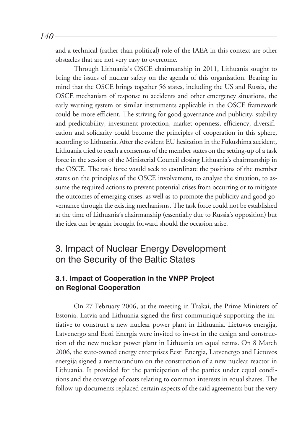and a technical (rather than political) role of the IAEA in this context are other obstacles that are not very easy to overcome.

Through Lithuania's OSCE chairmanship in 2011, Lithuania sought to bring the issues of nuclear safety on the agenda of this organisation. Bearing in mind that the OSCE brings together 56 states, including the US and Russia, the OSCE mechanism of response to accidents and other emergency situations, the early warning system or similar instruments applicable in the OSCE framework could be more efficient. The striving for good governance and publicity, stability and predictability, investment protection, market openness, efficiency, diversification and solidarity could become the principles of cooperation in this sphere, according to Lithuania. After the evident EU hesitation in the Fukushima accident, Lithuania tried to reach a consensus of the member states on the setting-up of a task force in the session of the Ministerial Council closing Lithuania's chairmanship in the OSCE. The task force would seek to coordinate the positions of the member states on the principles of the OSCE involvement, to analyse the situation, to assume the required actions to prevent potential crises from occurring or to mitigate the outcomes of emerging crises, as well as to promote the publicity and good governance through the existing mechanisms. The task force could not be established at the time of Lithuania's chairmanship (essentially due to Russia's opposition) but the idea can be again brought forward should the occasion arise.

# 3. Impact of Nuclear Energy Development on the Security of the Baltic States

# **3.1. Impact of Cooperation in the VNPP Project on Regional Cooperation**

On 27 February 2006, at the meeting in Trakai, the Prime Ministers of Estonia, Latvia and Lithuania signed the first communiqué supporting the initiative to construct a new nuclear power plant in Lithuania. Lietuvos energija, Latvenergo and Eesti Energia were invited to invest in the design and construction of the new nuclear power plant in Lithuania on equal terms. On 8 March 2006, the state-owned energy enterprises Eesti Energia, Latvenergo and Lietuvos energija signed a memorandum on the construction of a new nuclear reactor in Lithuania. It provided for the participation of the parties under equal conditions and the coverage of costs relating to common interests in equal shares. The follow-up documents replaced certain aspects of the said agreements but the very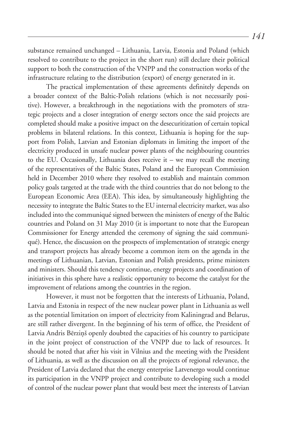substance remained unchanged – Lithuania, Latvia, Estonia and Poland (which resolved to contribute to the project in the short run) still declare their political support to both the construction of the VNPP and the construction works of the infrastructure relating to the distribution (export) of energy generated in it.

The practical implementation of these agreements definitely depends on a broader context of the Baltic-Polish relations (which is not necessarily positive). However, a breakthrough in the negotiations with the promoters of strategic projects and a closer integration of energy sectors once the said projects are completed should make a positive impact on the desecuritization of certain topical problems in bilateral relations. In this context, Lithuania is hoping for the support from Polish, Latvian and Estonian diplomats in limiting the import of the electricity produced in unsafe nuclear power plants of the neighbouring countries to the EU. Occasionally, Lithuania does receive it – we may recall the meeting of the representatives of the Baltic States, Poland and the European Commission held in December 2010 where they resolved to establish and maintain common policy goals targeted at the trade with the third countries that do not belong to the European Economic Area (EEA). This idea, by simultaneously highlighting the necessity to integrate the Baltic States to the EU internal electricity market, was also included into the communiqué signed between the ministers of energy of the Baltic countries and Poland on 31 May 2010 (it is important to note that the European Commissioner for Energy attended the ceremony of signing the said communiqué). Hence, the discussion on the prospects of implementation of strategic energy and transport projects has already become a common item on the agenda in the meetings of Lithuanian, Latvian, Estonian and Polish presidents, prime ministers and ministers. Should this tendency continue, energy projects and coordination of initiatives in this sphere have a realistic opportunity to become the catalyst for the improvement of relations among the countries in the region.

However, it must not be forgotten that the interests of Lithuania, Poland, Latvia and Estonia in respect of the new nuclear power plant in Lithuania as well as the potential limitation on import of electricity from Kaliningrad and Belarus, are still rather divergent. In the beginning of his term of office, the President of Latvia Andris Bērziņš openly doubted the capacities of his country to participate in the joint project of construction of the VNPP due to lack of resources. It should be noted that after his visit in Vilnius and the meeting with the President of Lithuania, as well as the discussion on all the projects of regional relevance, the President of Latvia declared that the energy enterprise Latvenergo would continue its participation in the VNPP project and contribute to developing such a model of control of the nuclear power plant that would best meet the interests of Latvian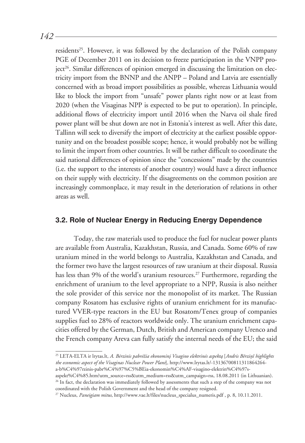*142*

residents<sup>25</sup>. However, it was followed by the declaration of the Polish company PGE of December 2011 on its decision to freeze participation in the VNPP pro- $\chi$ iect<sup>26</sup>. Similar differences of opinion emerged in discussing the limitation on electricity import from the BNNP and the ANPP – Poland and Latvia are essentially concerned with as broad import possibilities as possible, whereas Lithuania would like to block the import from "unsafe" power plants right now or at least from 2020 (when the Visaginas NPP is expected to be put to operation). In principle, additional flows of electricity import until 2016 when the Narva oil shale fired power plant will be shut down are not in Estonia's interest as well. After this date, Tallinn will seek to diversify the import of electricity at the earliest possible opportunity and on the broadest possible scope; hence, it would probably not be willing to limit the import from other countries. It will be rather difficult to coordinate the said national differences of opinion since the "concessions" made by the countries (i.e. the support to the interests of another country) would have a direct influence on their supply with electricity. If the disagreements on the common position are increasingly commonplace, it may result in the deterioration of relations in other areas as well.

#### **3.2. Role of Nuclear Energy in Reducing Energy Dependence**

Today, the raw materials used to produce the fuel for nuclear power plants are available from Australia, Kazakhstan, Russia, and Canada. Some 60% of raw uranium mined in the world belongs to Australia, Kazakhstan and Canada, and the former two have the largest resources of raw uranium at their disposal. Russia has less than 9% of the world's uranium resources.<sup>27</sup> Furthermore, regarding the enrichment of uranium to the level appropriate to a NPP, Russia is also neither the sole provider of this service nor the monopolist of its market. The Russian company Rosatom has exclusive rights of uranium enrichment for its manufactured VVER-type reactors in the EU but Rosatom/Tenex group of companies supplies fuel to 28% of reactors worldwide only. The uranium enrichment capacities offered by the German, Dutch, British and American company Urenco and the French company Areva can fully satisfy the internal needs of the EU; the said

25 LETA-ELTA ir lrytas.lt, *A. Bėrzinis pabrėžia ekonominį Visagino elektrinės aspektą* [*Andris Bērziņš highlights the economic aspect of the Visaginas Nuclear Power Plant*]*,* http://www.lrytas.lt/-13136700811311864264 a-b%C4%97rzinis-pabr%C4%97%C5%BEia-ekonomin%C4%AF-visagino-elektrin%C4%97s-

aspekt%C4%85.htm?utm\_source=rss&utm\_medium=rss&utm\_campaign=rss, 18.08.2011 (in Lithuanian). <sup>26</sup> In fact, the declaration was immediately followed by assessments that such a step of the company was not

coordinated with the Polish Government and the head of the company resigned. <sup>27</sup> Nucleus, *Paneigiam mitus*, http://www.vae.lt/files/nucleus specialus numeris.pdf , p. 8, 10.11.2011.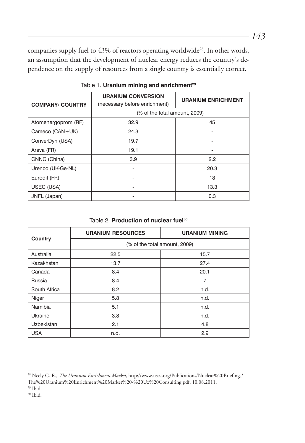companies supply fuel to 43% of reactors operating worldwide<sup>28</sup>. In other words, an assumption that the development of nuclear energy reduces the country's dependence on the supply of resources from a single country is essentially correct.

| <b>COMPANY/ COUNTRY</b> | <b>URANIUM CONVERSION</b><br>(necessary before enrichment) | <b>URANIUM ENRICHMENT</b> |  |
|-------------------------|------------------------------------------------------------|---------------------------|--|
|                         | (% of the total amount, 2009)                              |                           |  |
| Atomenergoprom (RF)     | 32.9                                                       | 45                        |  |
| Cameco (CAN+UK)         | 24.3                                                       |                           |  |
| ConverDyn (USA)         | 19.7                                                       |                           |  |
| Areva (FR)              | 19.1                                                       |                           |  |
| CNNC (China)            | 3.9                                                        | 2.2                       |  |
| Urenco (UK-Ge-NL)       |                                                            | 20.3                      |  |
| Eurodif (FR)            |                                                            | 18                        |  |
| USEC (USA)              |                                                            | 13.3                      |  |
| JNFL (Japan)            |                                                            | 0.3                       |  |

Table 1. **Uranium mining and enrichment**<sup>29</sup>

Table 2. **Production of nuclear fuel<sup>30</sup>** 

| <b>Country</b>    | <b>URANIUM RESOURCES</b>      | <b>URANIUM MINING</b> |
|-------------------|-------------------------------|-----------------------|
|                   | (% of the total amount, 2009) |                       |
| Australia         | 22.5                          | 15.7                  |
| Kazakhstan        | 13.7                          | 27.4                  |
| Canada            | 8.4                           | 20.1                  |
| Russia            | 8.4                           | 7                     |
| South Africa      | 8.2                           | n.d.                  |
| Niger             | 5.8                           | n.d.                  |
| Namibia           | 5.1                           | n.d.                  |
| Ukraine           | 3.8                           | n.d.                  |
| <b>Uzbekistan</b> | 2.1                           | 4.8                   |
| <b>USA</b>        | n.d.                          | 2.9                   |

<sup>28</sup> Neely G. R., *The Uranium Enrichment Market,* http://www.usea.org/Publications/Nuclear%20Briefings/ The%20Uranium%20Enrichment%20Market%20-%20Ux%20Consulting.pdf, 10.08.2011.

<sup>29</sup> Ibid.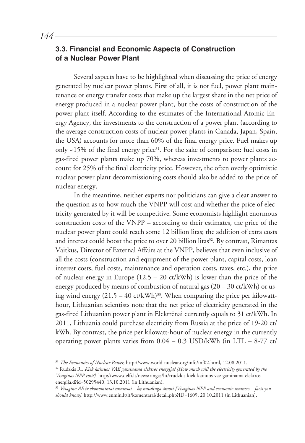# **3.3. Financial and Economic Aspects of Construction of a Nuclear Power Plant**

Several aspects have to be highlighted when discussing the price of energy generated by nuclear power plants. First of all, it is not fuel, power plant maintenance or energy transfer costs that make up the largest share in the net price of energy produced in a nuclear power plant, but the costs of construction of the power plant itself. According to the estimates of the International Atomic Energy Agency, the investments to the construction of a power plant (according to the average construction costs of nuclear power plants in Canada, Japan, Spain, the USA) accounts for more than 60% of the final energy price. Fuel makes up only  $-15\%$  of the final energy price<sup>31</sup>. For the sake of comparison: fuel costs in gas-fired power plants make up 70%, whereas investments to power plants account for 25% of the final electricity price. However, the often overly optimistic nuclear power plant decommissioning costs should also be added to the price of nuclear energy.

In the meantime, neither experts nor politicians can give a clear answer to the question as to how much the VNPP will cost and whether the price of electricity generated by it will be competitive. Some economists highlight enormous construction costs of the VNPP – according to their estimates, the price of the nuclear power plant could reach some 12 billion litas; the addition of extra costs and interest could boost the price to over 20 billion litas<sup>32</sup>. By contrast, Rimantas Vaitkus, Director of External Affairs at the VNPP, believes that even inclusive of all the costs (construction and equipment of the power plant, capital costs, loan interest costs, fuel costs, maintenance and operation costs, taxes, etc.), the price of nuclear energy in Europe  $(12.5 - 20 \text{ ct/kWh})$  is lower than the price of the energy produced by means of combustion of natural gas  $(20 – 30 \text{ ct/kWh})$  or using wind energy  $(21.5 - 40 \text{ ct/kWh})^{33}$ . When comparing the price per kilowatthour, Lithuanian scientists note that the net price of electricity generated in the gas-fired Lithuanian power plant in Elektrėnai currently equals to 31 ct/kWh. In 2011, Lithuania could purchase electricity from Russia at the price of 19-20 ct/ kWh. By contrast, the price per kilowatt-hour of nuclear energy in the currently operating power plants varies from  $0.04 - 0.3$  USD/kWh (in LTL – 8-77 ct/

<sup>31</sup> *The Economics of Nuclear Power,* http://www.world-nuclear.org/info/inf02.html, 12.08.2011.

<sup>32</sup> Rudzkis R., *Kiek kainuos VAE gaminama elektros energija? [How much will the electricity generated by the Visaginas NPP cost?]* http://www.delfi.lt/news/ringas/lit/rrudzkis-kiek-kainuos-vae-gaminama-elektrosenergija.d?id=50295440, 13.10.2011 (in Lithuanian).

<sup>33</sup> *Visagino AE ir ekonominiai niuansai – ką naudinga žinoti [Visaginas NPP and economic nuances – facts you should know],* http://www.enmin.lt/lt/komentarai/detail.php?ID=1609, 20.10.2011 (in Lithuanian).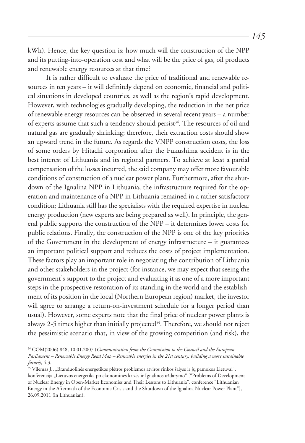kWh). Hence, the key question is: how much will the construction of the NPP and its putting-into-operation cost and what will be the price of gas, oil products and renewable energy resources at that time?

It is rather difficult to evaluate the price of traditional and renewable resources in ten years – it will definitely depend on economic, financial and political situations in developed countries, as well as the region's rapid development. However, with technologies gradually developing, the reduction in the net price of renewable energy resources can be observed in several recent years – a number of experts assume that such a tendency should persist<sup>34</sup>. The resources of oil and natural gas are gradually shrinking; therefore, their extraction costs should show an upward trend in the future. As regards the VNPP construction costs, the loss of some orders by Hitachi corporation after the Fukushima accident is in the best interest of Lithuania and its regional partners. To achieve at least a partial compensation of the losses incurred, the said company may offer more favourable conditions of construction of a nuclear power plant. Furthermore, after the shutdown of the Ignalina NPP in Lithuania, the infrastructure required for the operation and maintenance of a NPP in Lithuania remained in a rather satisfactory condition; Lithuania still has the specialists with the required expertise in nuclear energy production (new experts are being prepared as well). In principle, the general public supports the construction of the NPP – it determines lower costs for public relations. Finally, the construction of the NPP is one of the key priorities of the Government in the development of energy infrastructure – it guarantees an important political support and reduces the costs of project implementation. These factors play an important role in negotiating the contribution of Lithuania and other stakeholders in the project (for instance, we may expect that seeing the government's support to the project and evaluating it as one of a more important steps in the prospective restoration of its standing in the world and the establishment of its position in the local (Northern European region) market, the investor will agree to arrange a return-on-investment schedule for a longer period than usual). However, some experts note that the final price of nuclear power plants is always 2-5 times higher than initially projected<sup>35</sup>. Therefore, we should not reject the pessimistic scenario that, in view of the growing competition (and risk), the

<sup>34</sup> COM(2006) 848, 10.01.2007 (*Communication from the Commission to the Council and the European Parliament – Renewable Energy Road Map – Renwable energies in the 21st century: building a more sustainable future*), 4.3.

<sup>35</sup> Vilemas J., "Branduolinės energetikos plėtros problemos atviros rinkos šalyse ir jų pamokos Lietuvai", konferencija "Lietuvos energetika po ekonominės krizės ir Ignalinos uždarymo" ["Problems of Development of Nuclear Energy in Open-Market Economies and Their Lessons to Lithuania", conference "Lithuanian Energy in the Aftermath of the Economic Crisis and the Shutdown of the Ignalina Nuclear Power Plant"], 26.09.2011 (in Lithuanian).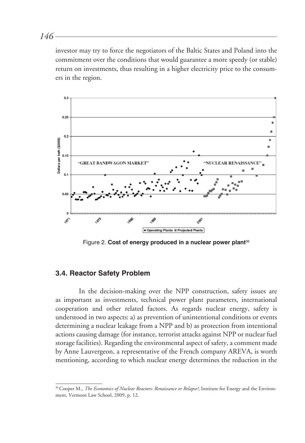investor may try to force the negotiators of the Baltic States and Poland into the commitment over the conditions that would guarantee a more speedy (or stable) return on investments, thus resulting in a higher electricity price to the consumers in the region.



Figure 2. **Cost of energy produced in a nuclear power plant**<sup>36</sup>

#### **3.4. Reactor Safety Problem**

In the decision-making over the NPP construction, safety issues are as important as investments, technical power plant parameters, international cooperation and other related factors. As regards nuclear energy, safety is understood in two aspects: a) as prevention of unintentional conditions or events determining a nuclear leakage from a NPP and b) as protection from intentional actions causing damage (for instance, terrorist attacks against NPP or nuclear fuel storage facilities). Regarding the environmental aspect of safety, a comment made by Anne Lauvergeon, a representative of the French company AREVA, is worth mentioning, according to which nuclear energy determines the reduction in the

*146*

<sup>36</sup> Cooper M., *The Economics of Nuclear Reactors: Renaissance or Relapse?,* Institute for Energy and the Environment, Vermont Law School, 2009, p. 12.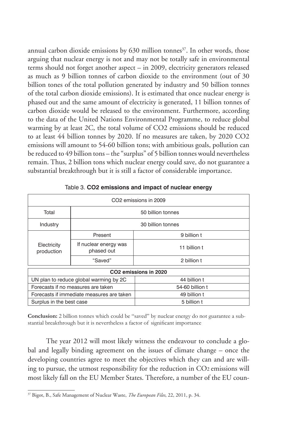annual carbon dioxide emissions by  $630$  million tonnes<sup>37</sup>. In other words, those arguing that nuclear energy is not and may not be totally safe in environmental terms should not forget another aspect – in 2009, electricity generators released as much as 9 billion tonnes of carbon dioxide to the environment (out of 30 billion tones of the total pollution generated by industry and 50 billion tonnes of the total carbon dioxide emissions). It is estimated that once nuclear energy is phased out and the same amount of electricity is generated, 11 billion tonnes of carbon dioxide would be released to the environment. Furthermore, according to the data of the United Nations Environmental Programme, to reduce global warming by at least 2C, the total volume of CO2 emissions should be reduced to at least 44 billion tonnes by 2020. If no measures are taken, by 2020 CO2 emissions will amount to 54-60 billion tons; with ambitious goals, pollution can be reduced to 49 billion tons – the "surplus" of 5 billion tonnes would nevertheless remain. Thus, 2 billion tons which nuclear energy could save, do not guarantee a substantial breakthrough but it is still a factor of considerable importance.

| CO <sub>2</sub> emissions in 2009         |                                     |                 |  |  |
|-------------------------------------------|-------------------------------------|-----------------|--|--|
| Total                                     | 50 billion tonnes                   |                 |  |  |
| Industry                                  | 30 billion tonnes                   |                 |  |  |
| Electricity<br>production                 | Present                             | 9 billion t     |  |  |
|                                           | If nuclear energy was<br>phased out | 11 billion t    |  |  |
|                                           | "Saved"                             | 2 billion t     |  |  |
| CO2 emissions in 2020                     |                                     |                 |  |  |
| UN plan to reduce global warming by 2C    |                                     | 44 billion t    |  |  |
| Forecasts if no measures are taken        |                                     | 54-60 billion t |  |  |
| Forecasts if immediate measures are taken |                                     | 49 billion t    |  |  |
| Surplus in the best case                  |                                     | 5 billion t     |  |  |

Table 3. **CO2 emissions and impact of nuclear energy**

Conclusion: 2 billion tonnes which could be "saved" by nuclear energy do not guarantee a substantial breakthrough but it is nevertheless a factor of significant importance

The year 2012 will most likely witness the endeavour to conclude a global and legally binding agreement on the issues of climate change – once the developing countries agree to meet the objectives which they can and are willing to pursue, the utmost responsibility for the reduction in CO2 emissions will most likely fall on the EU Member States. Therefore, a number of the EU coun-

<sup>37</sup> Bigot, B., Safe Management of Nuclear Waste, *The European Files*, 22, 2011, p. 34.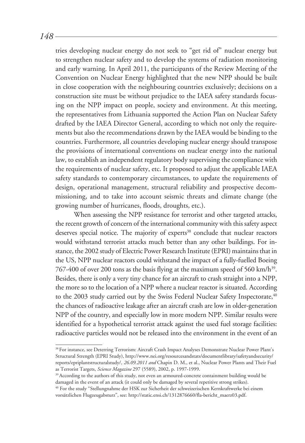tries developing nuclear energy do not seek to "get rid of" nuclear energy but to strengthen nuclear safety and to develop the systems of radiation monitoring and early warning. In April 2011, the participants of the Review Meeting of the Convention on Nuclear Energy highlighted that the new NPP should be built in close cooperation with the neighbouring countries exclusively; decisions on a construction site must be without prejudice to the IAEA safety standards focusing on the NPP impact on people, society and environment. At this meeting, the representatives from Lithuania supported the Action Plan on Nuclear Safety drafted by the IAEA Director General, according to which not only the requirements but also the recommendations drawn by the IAEA would be binding to the countries. Furthermore, all countries developing nuclear energy should transpose the provisions of international conventions on nuclear energy into the national law, to establish an independent regulatory body supervising the compliance with the requirements of nuclear safety, etc. It proposed to adjust the applicable IAEA safety standards to contemporary circumstances, to update the requirements of design, operational management, structural reliability and prospective decommissioning, and to take into account seismic threats and climate change (the growing number of hurricanes, floods, droughts, etc.).

When assessing the NPP resistance for terrorist and other targeted attacks, the recent growth of concern of the international community with this safety aspect deserves special notice. The majority of experts<sup>38</sup> conclude that nuclear reactors would withstand terrorist attacks much better than any other buildings. For instance, the 2002 study of Electric Power Research Institute (EPRI) maintains that in the US, NPP nuclear reactors could withstand the impact of a fully-fuelled Boeing 767-400 of over 200 tons as the basis flying at the maximum speed of 560 km/h<sup>39</sup>. Besides, there is only a very tiny chance for an aircraft to crash straight into a NPP, the more so to the location of a NPP where a nuclear reactor is situated. According to the 2003 study carried out by the Swiss Federal Nuclear Safety Inspectorate,<sup>40</sup> the chances of radioactive leakage after an aircraft crash are low in older-generation NPP of the country, and especially low in more modern NPP. Similar results were identified for a hypothetical terrorist attack against the used fuel storage facilities: radioactive particles would not be released into the environment in the event of an

*148*

<sup>38</sup> For instance, see Deterring Terrorism: Aircraft Crash Impact Analyses Demonstrate Nuclear Power Plant's Structural Strength (EPRI Study), http://www.nei.org/resourcesandstats/documentlibrary/safetyandsecurity/ reports/epriplantstructuralstudy/*, 26.09.2011 and* Chapin D. M., et al., Nuclear Power Plants and Their Fuel as Terrorist Targets, *Science Magazine* 297 (5589), 2002, p. 1997-1999.

<sup>&</sup>lt;sup>39</sup> According to the authors of this study, not even an armoured-concrete containment building would be damaged in the event of an attack (it could only be damaged by several repetitive strong strikes).

<sup>40</sup> For the study "Stellungnahme der HSK zur Sicherheit der schweizerischen Kernkraftwerke bei einem vorsätzlichen Flugzeugabsturz", see: http://static.ensi.ch/1312876660/fla-bericht\_maerz03.pdf.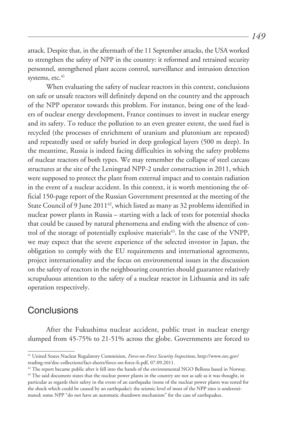attack. Despite that, in the aftermath of the 11 September attacks, the USA worked to strengthen the safety of NPP in the country: it reformed and retrained security personnel, strengthened plant access control, surveillance and intrusion detection systems,  $etc.<sup>41</sup>$ 

When evaluating the safety of nuclear reactors in this context, conclusions on safe or unsafe reactors will definitely depend on the country and the approach of the NPP operator towards this problem. For instance, being one of the leaders of nuclear energy development, France continues to invest in nuclear energy and its safety. To reduce the pollution to an even greater extent, the used fuel is recycled (the processes of enrichment of uranium and plutonium are repeated) and repeatedly used or safely buried in deep geological layers (500 m deep). In the meantime, Russia is indeed facing difficulties in solving the safety problems of nuclear reactors of both types. We may remember the collapse of steel carcass structures at the site of the Leningrad NPP-2 under construction in 2011, which were supposed to protect the plant from external impact and to contain radiation in the event of a nuclear accident. In this context, it is worth mentioning the official 150-page report of the Russian Government presented at the meeting of the State Council of 9 June 2011<sup>42</sup>, which listed as many as 32 problems identified in nuclear power plants in Russia – starting with a lack of tests for potential shocks that could be caused by natural phenomena and ending with the absence of control of the storage of potentially explosive materials<sup>43</sup>. In the case of the VNPP, we may expect that the severe experience of the selected investor in Japan, the obligation to comply with the EU requirements and international agreements, project internationality and the focus on environmental issues in the discussion on the safety of reactors in the neighbouring countries should guarantee relatively scrupuluous attention to the safety of a nuclear reactor in Lithuania and its safe operation respectively.

# **Conclusions**

After the Fukushima nuclear accident, public trust in nuclear energy slumped from 45-75% to 21-51% across the globe. Governments are forced to

*149*

<sup>41</sup> United States Nuclear Regulatory Commision, *Force-on-Force Security Inspections,* http://www.nrc.gov/ reading-rm/doc-collections/fact-sheets/force-on-force-fs.pdf, 07.09.2011.

 $42$  The report became public after it fell into the hands of the environmental NGO Bellona based in Norway. <sup>43</sup> The said document states that the nuclear power plants in the country are not as safe as it was thought, in particular as regards their safety in the event of an earthquake (none of the nuclear power plants was tested for the shock which could be caused by an earthquake); the seismic level of most of the NPP sites is underestimated; some NPP "do not have an automatic shutdown mechanism" for the case of earthquakes.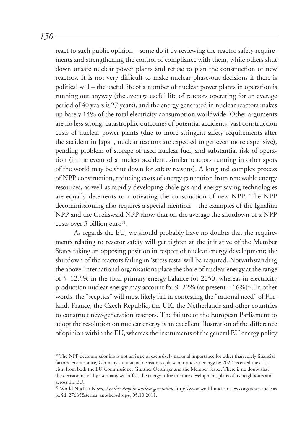*150*

react to such public opinion – some do it by reviewing the reactor safety requirements and strengthening the control of compliance with them, while others shut down unsafe nuclear power plants and refuse to plan the construction of new reactors. It is not very difficult to make nuclear phase-out decisions if there is political will – the useful life of a number of nuclear power plants in operation is running out anyway (the average useful life of reactors operating for an average period of 40 years is 27 years), and the energy generated in nuclear reactors makes up barely 14% of the total electricity consumption worldwide. Other arguments are no less strong: catastrophic outcomes of potential accidents, vast construction costs of nuclear power plants (due to more stringent safety requirements after the accident in Japan, nuclear reactors are expected to get even more expensive), pending problem of storage of used nuclear fuel, and substantial risk of operation (in the event of a nuclear accident, similar reactors running in other spots of the world may be shut down for safety reasons). A long and complex process of NPP construction, reducing costs of energy generation from renewable energy resources, as well as rapidly developing shale gas and energy saving technologies are equally deterrents to motivating the construction of new NPP. The NPP decommissioning also requires a special mention – the examples of the Ignalina NPP and the Greifswald NPP show that on the average the shutdown of a NPP  $costs over 3 billion euro<sup>44</sup>$ .

As regards the EU, we should probably have no doubts that the requirements relating to reactor safety will get tighter at the initiative of the Member States taking an opposing position in respect of nuclear energy development; the shutdown of the reactors failing in 'stress tests' will be required. Notwithstanding the above, international organisations place the share of nuclear energy at the range of 5–12.5% in the total primary energy balance for 2050, whereas in electricity production nuclear energy may account for  $9-22\%$  (at present  $-16\%$ )<sup>45</sup>. In other words, the "sceptics" will most likely fail in contesting the "rational need" of Finland, France, the Czech Republic, the UK, the Netherlands and other countries to construct new-generation reactors. The failure of the European Parliament to adopt the resolution on nuclear energy is an excellent illustration of the difference of opinion within the EU, whereas the instruments of the general EU energy policy

<sup>44</sup>The NPP decommissioning is not an issue of exclusively national importance for other than solely financial factors. For instance, Germany's unilateral decision to phase out nuclear energy by 2022 received the criticism from both the EU Commissioner Günther Oettinger and the Member States. There is no doubt that the decision taken by Germany will affect the energy infrastructure development plans of its neighbours and across the EU.

<sup>45</sup> World Nuclear News, *Another drop in nuclear generation,* http://www.world-nuclear-news.org/newsarticle.as px?id=27665&terms=another+drop+, 05.10.2011.